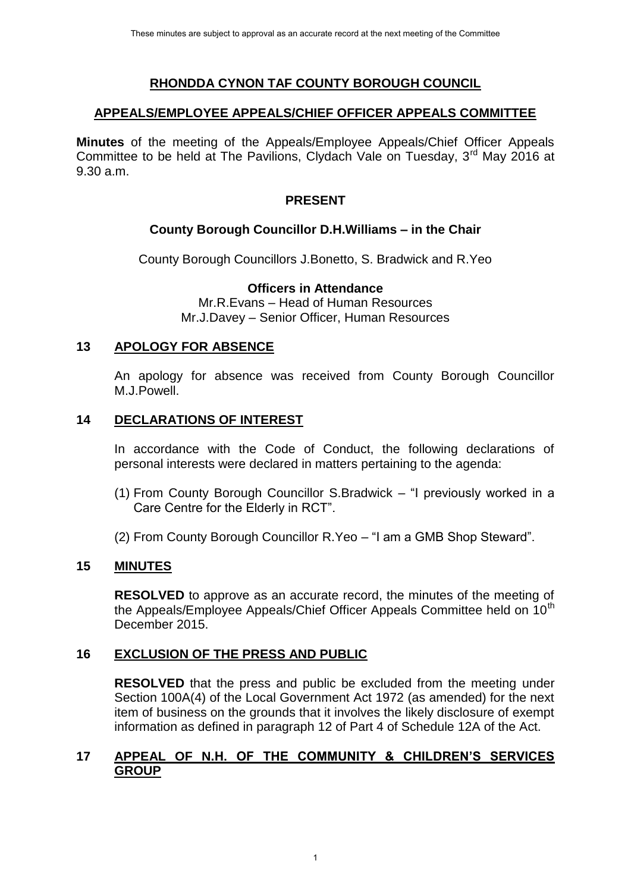# **RHONDDA CYNON TAF COUNTY BOROUGH COUNCIL**

#### **APPEALS/EMPLOYEE APPEALS/CHIEF OFFICER APPEALS COMMITTEE**

**Minutes** of the meeting of the Appeals/Employee Appeals/Chief Officer Appeals Committee to be held at The Pavilions, Clydach Vale on Tuesday, 3<sup>rd</sup> May 2016 at 9.30 a.m.

### **PRESENT**

# **County Borough Councillor D.H.Williams – in the Chair**

County Borough Councillors J.Bonetto, S. Bradwick and R.Yeo

### **Officers in Attendance**

Mr.R.Evans – Head of Human Resources Mr.J.Davey – Senior Officer, Human Resources

### **13 APOLOGY FOR ABSENCE**

An apology for absence was received from County Borough Councillor M.J.Powell.

### **14 DECLARATIONS OF INTEREST**

In accordance with the Code of Conduct, the following declarations of personal interests were declared in matters pertaining to the agenda:

- (1) From County Borough Councillor S.Bradwick "I previously worked in a Care Centre for the Elderly in RCT".
- (2) From County Borough Councillor R.Yeo "I am a GMB Shop Steward".

# **15 MINUTES**

**RESOLVED** to approve as an accurate record, the minutes of the meeting of the Appeals/Employee Appeals/Chief Officer Appeals Committee held on 10<sup>th</sup> December 2015.

# **16 EXCLUSION OF THE PRESS AND PUBLIC**

**RESOLVED** that the press and public be excluded from the meeting under Section 100A(4) of the Local Government Act 1972 (as amended) for the next item of business on the grounds that it involves the likely disclosure of exempt information as defined in paragraph 12 of Part 4 of Schedule 12A of the Act.

### **17 APPEAL OF N.H. OF THE COMMUNITY & CHILDREN'S SERVICES GROUP**